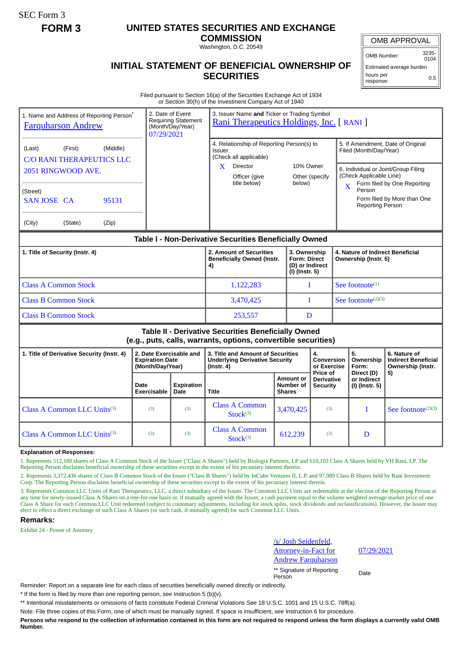SEC Form 3

## **FORM 3 UNITED STATES SECURITIES AND EXCHANGE**

**COMMISSION** Washington, D.C. 20549

OMB APPROVAL

OMB Number: 3235-  $0104$ 

## **INITIAL STATEMENT OF BENEFICIAL OWNERSHIP OF SECURITIES**

Estimated average burden hours per response: 0.5

Filed pursuant to Section 16(a) of the Securities Exchange Act of 1934 or Section 30(h) of the Investment Company Act of 1940

| 1. Name and Address of Reporting Person*<br><b>Farquharson Andrew</b>                                                                                            |                                                                       | 3. Issuer Name and Ticker or Trading Symbol<br>2. Date of Event<br><b>Requiring Statement</b><br>Rani Therapeutics Holdings, Inc. [ RANI ]<br>(Month/Day/Year)<br>07/29/2021 |                                                                                                                                  |               |                                                                          |                                                  |                                                          |                                                                                                                                                                                                                                                  |                                                                 |  |
|------------------------------------------------------------------------------------------------------------------------------------------------------------------|-----------------------------------------------------------------------|------------------------------------------------------------------------------------------------------------------------------------------------------------------------------|----------------------------------------------------------------------------------------------------------------------------------|---------------|--------------------------------------------------------------------------|--------------------------------------------------|----------------------------------------------------------|--------------------------------------------------------------------------------------------------------------------------------------------------------------------------------------------------------------------------------------------------|-----------------------------------------------------------------|--|
| (Middle)<br>(First)<br>(Last)<br><b>C/O RANI THERAPEUTICS LLC</b><br>2051 RINGWOOD AVE.<br>(Street)<br><b>SAN JOSE CA</b><br>95131<br>(City)<br>(State)<br>(Zip) |                                                                       |                                                                                                                                                                              | 4. Relationship of Reporting Person(s) to<br>Issuer<br>(Check all applicable)<br>Director<br>X.<br>Officer (give<br>title below) |               | 10% Owner<br>Other (specify<br>below)                                    |                                                  |                                                          | 5. If Amendment, Date of Original<br>Filed (Month/Day/Year)<br>6. Individual or Joint/Group Filing<br>(Check Applicable Line)<br>Form filed by One Reporting<br>$\mathbf{X}$<br>Person<br>Form filed by More than One<br><b>Reporting Person</b> |                                                                 |  |
| Table I - Non-Derivative Securities Beneficially Owned                                                                                                           |                                                                       |                                                                                                                                                                              |                                                                                                                                  |               |                                                                          |                                                  |                                                          |                                                                                                                                                                                                                                                  |                                                                 |  |
| 1. Title of Security (Instr. 4)                                                                                                                                  |                                                                       |                                                                                                                                                                              | 2. Amount of Securities<br><b>Beneficially Owned (Instr.</b><br>4)                                                               |               | 3. Ownership<br><b>Form: Direct</b><br>(D) or Indirect<br>(I) (Instr. 5) |                                                  | 4. Nature of Indirect Beneficial<br>Ownership (Instr. 5) |                                                                                                                                                                                                                                                  |                                                                 |  |
| <b>Class A Common Stock</b>                                                                                                                                      |                                                                       |                                                                                                                                                                              | 1,122,283                                                                                                                        |               | L                                                                        |                                                  | See footnote $(1)$                                       |                                                                                                                                                                                                                                                  |                                                                 |  |
| <b>Class B Common Stock</b>                                                                                                                                      |                                                                       |                                                                                                                                                                              | 3,470,425                                                                                                                        |               | $\mathbf{I}$                                                             |                                                  | See footnote $(2)(3)$                                    |                                                                                                                                                                                                                                                  |                                                                 |  |
| <b>Class B Common Stock</b>                                                                                                                                      |                                                                       |                                                                                                                                                                              | 253,557                                                                                                                          | D             |                                                                          |                                                  |                                                          |                                                                                                                                                                                                                                                  |                                                                 |  |
| Table II - Derivative Securities Beneficially Owned<br>(e.g., puts, calls, warrants, options, convertible securities)                                            |                                                                       |                                                                                                                                                                              |                                                                                                                                  |               |                                                                          |                                                  |                                                          |                                                                                                                                                                                                                                                  |                                                                 |  |
| 1. Title of Derivative Security (Instr. 4)                                                                                                                       | 2. Date Exercisable and<br><b>Expiration Date</b><br>(Month/Day/Year) |                                                                                                                                                                              | 3. Title and Amount of Securities<br><b>Underlying Derivative Security</b><br>$($ lnstr. 4 $)$                                   |               |                                                                          | 4.<br>Conversion<br>or Exercise                  |                                                          | 5.<br>Ownership<br>Form:<br>Direct (D)                                                                                                                                                                                                           | 6. Nature of<br><b>Indirect Beneficial</b><br>Ownership (Instr. |  |
|                                                                                                                                                                  | Date<br><b>Exercisable</b>                                            | <b>Expiration</b><br>Date                                                                                                                                                    | <b>Title</b>                                                                                                                     | <b>Shares</b> | <b>Amount or</b><br>Number of                                            | Price of<br><b>Derivative</b><br><b>Security</b> |                                                          | or Indirect<br>(I) (Instr. 5)                                                                                                                                                                                                                    | 5)                                                              |  |
| Class A Common LLC Units <sup>(3)</sup>                                                                                                                          | (3)                                                                   | (3)                                                                                                                                                                          | <b>Class A Common</b><br>Stock <sup>(3)</sup>                                                                                    |               | (3)<br>3,470,425                                                         |                                                  |                                                          | T                                                                                                                                                                                                                                                | See footnote <sup>(2)(3)</sup>                                  |  |
| Class A Common LLC Units <sup>(3)</sup>                                                                                                                          | (3)                                                                   | (3)                                                                                                                                                                          | <b>Class A Common</b><br>Stock <sup>(3)</sup>                                                                                    |               | 612,239                                                                  | (3)                                              |                                                          | D                                                                                                                                                                                                                                                |                                                                 |  |

## **Explanation of Responses:**

1. Represents 512,180 shares of Class A Common Stock of the Issuer ("Class A Shares") held by Biologix Partners, LP and 610,103 Class A Shares held by VH Rani, LP. The Reporting Person disclaims beneficial ownership of these securities except to the extent of his pecuniary interest therein.

2. Represents 3,372,436 shares of Class B Common Stock of the Issuer ("Class B Shares") held by InCube Ventures II, L.P. and 97,989 Class B Shares held by Rani Investment Corp. The Reporting Person disclaims beneficial ownership of these securities except to the extent of his pecuniary interest therein.

3. Represents Common LLC Units of Rani Therapeutics, LLC, a direct subsidiary of the Issuer. The Common LLC Units are redeemable at the election of the Reporting Person at any time for newly-issued Class A Shares on a one-for-one basis or, if mutually agreed with the Issuer, a cash payment equal to the volume weighted average market price of one Class A Share for each Common LLC Unit redeemed (subject to customary adjustments, including for stock splits, stock dividends and reclassifications). However, the Issuer may elect to effect a direct exchange of such Class A Shares (or such cash, if mutually agreed) for such Common LLC Units.

## **Remarks:**

Exhibit 24 - Power of Attorney

/s/ Josh Seidenfeld, Attorney-in-Fact for Andrew Farquharson

\*\* Signature of Reporting Person Date

07/29/2021

Reminder: Report on a separate line for each class of securities beneficially owned directly or indirectly.

\* If the form is filed by more than one reporting person, *see* Instruction 5 (b)(v).

\*\* Intentional misstatements or omissions of facts constitute Federal Criminal Violations *See* 18 U.S.C. 1001 and 15 U.S.C. 78ff(a).

Note: File three copies of this Form, one of which must be manually signed. If space is insufficient, *see* Instruction 6 for procedure.

**Persons who respond to the collection of information contained in this form are not required to respond unless the form displays a currently valid OMB Number.**